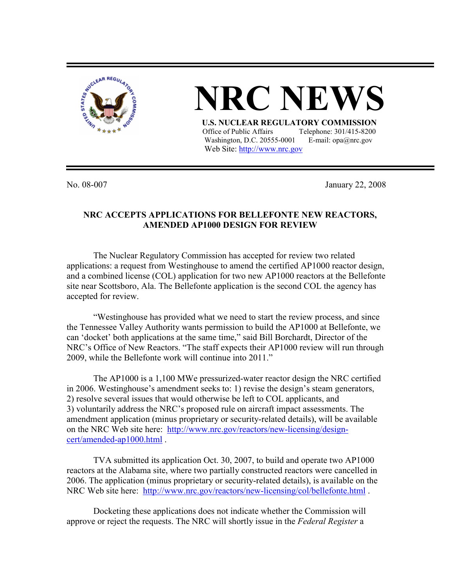

## **NRC NEV U.S. NUCLEAR REGULATORY COMMISSION** Office of Public Affairs Telephone: 301/415-8200

Washington, D.C. 20555-0001 E-mail:  $opa@nrc.gov$ Web Site: http://www.nrc.gov

No. 08-007 January 22, 2008

## **NRC ACCEPTS APPLICATIONS FOR BELLEFONTE NEW REACTORS, AMENDED AP1000 DESIGN FOR REVIEW**

 The Nuclear Regulatory Commission has accepted for review two related applications: a request from Westinghouse to amend the certified AP1000 reactor design, and a combined license (COL) application for two new AP1000 reactors at the Bellefonte site near Scottsboro, Ala. The Bellefonte application is the second COL the agency has accepted for review.

 "Westinghouse has provided what we need to start the review process, and since the Tennessee Valley Authority wants permission to build the AP1000 at Bellefonte, we can 'docket' both applications at the same time," said Bill Borchardt, Director of the NRC's Office of New Reactors. "The staff expects their AP1000 review will run through 2009, while the Bellefonte work will continue into 2011."

The AP1000 is a 1,100 MWe pressurized-water reactor design the NRC certified in 2006. Westinghouse's amendment seeks to: 1) revise the design's steam generators, 2) resolve several issues that would otherwise be left to COL applicants, and 3) voluntarily address the NRC's proposed rule on aircraft impact assessments. The amendment application (minus proprietary or security-related details), will be available on the NRC Web site here: http://www.nrc.gov/reactors/new-licensing/designcert/amended-ap1000.html .

TVA submitted its application Oct. 30, 2007, to build and operate two AP1000 reactors at the Alabama site, where two partially constructed reactors were cancelled in 2006. The application (minus proprietary or security-related details), is available on the NRC Web site here: http://www.nrc.gov/reactors/new-licensing/col/bellefonte.html .

Docketing these applications does not indicate whether the Commission will approve or reject the requests. The NRC will shortly issue in the *Federal Register* a